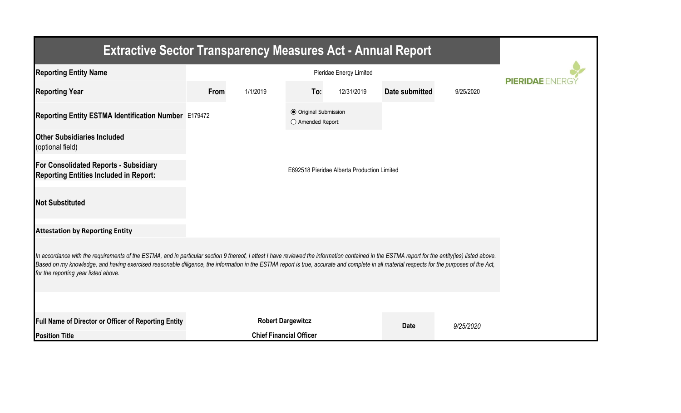| <b>Extractive Sector Transparency Measures Act - Annual Report</b>                                                                                                                                                                                                                                                                                                                                                                    |                                             |                                |                                                  |            |                |           |  |  |  |  |
|---------------------------------------------------------------------------------------------------------------------------------------------------------------------------------------------------------------------------------------------------------------------------------------------------------------------------------------------------------------------------------------------------------------------------------------|---------------------------------------------|--------------------------------|--------------------------------------------------|------------|----------------|-----------|--|--|--|--|
| <b>Reporting Entity Name</b>                                                                                                                                                                                                                                                                                                                                                                                                          |                                             | <b>PIERIDAE</b>                |                                                  |            |                |           |  |  |  |  |
| <b>Reporting Year</b>                                                                                                                                                                                                                                                                                                                                                                                                                 | From<br>1/1/2019                            |                                | To:                                              | 12/31/2019 | Date submitted | 9/25/2020 |  |  |  |  |
| Reporting Entity ESTMA Identification Number E179472                                                                                                                                                                                                                                                                                                                                                                                  |                                             |                                | <b>◎</b> Original Submission<br>○ Amended Report |            |                |           |  |  |  |  |
| <b>Other Subsidiaries Included</b><br>(optional field)                                                                                                                                                                                                                                                                                                                                                                                |                                             |                                |                                                  |            |                |           |  |  |  |  |
| For Consolidated Reports - Subsidiary<br><b>Reporting Entities Included in Report:</b>                                                                                                                                                                                                                                                                                                                                                | E692518 Pieridae Alberta Production Limited |                                |                                                  |            |                |           |  |  |  |  |
| <b>Not Substituted</b>                                                                                                                                                                                                                                                                                                                                                                                                                |                                             |                                |                                                  |            |                |           |  |  |  |  |
| <b>Attestation by Reporting Entity</b>                                                                                                                                                                                                                                                                                                                                                                                                |                                             |                                |                                                  |            |                |           |  |  |  |  |
| In accordance with the requirements of the ESTMA, and in particular section 9 thereof, I attest I have reviewed the information contained in the ESTMA report for the entity(ies) listed above.<br>Based on my knowledge, and having exercised reasonable diligence, the information in the ESTMA report is true, accurate and complete in all material respects for the purposes of the Act,<br>for the reporting year listed above. |                                             |                                |                                                  |            |                |           |  |  |  |  |
|                                                                                                                                                                                                                                                                                                                                                                                                                                       |                                             |                                |                                                  |            |                |           |  |  |  |  |
| Full Name of Director or Officer of Reporting Entity                                                                                                                                                                                                                                                                                                                                                                                  | <b>Robert Dargewitcz</b>                    |                                |                                                  |            | <b>Date</b>    | 9/25/2020 |  |  |  |  |
| <b>Position Title</b>                                                                                                                                                                                                                                                                                                                                                                                                                 |                                             | <b>Chief Financial Officer</b> |                                                  |            |                |           |  |  |  |  |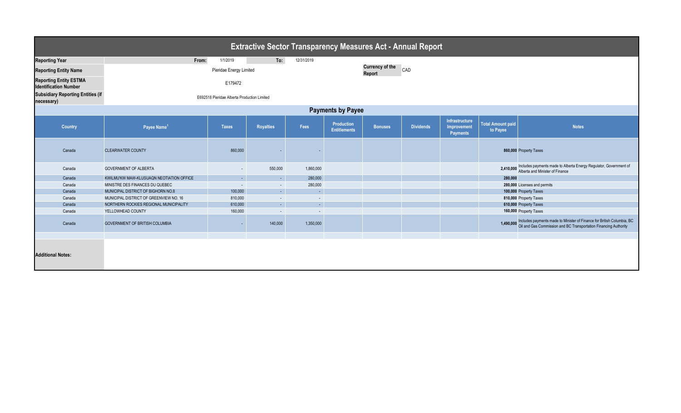| <b>Extractive Sector Transparency Measures Act - Annual Report</b> |                                             |                               |                          |                          |                                   |                |                  |                                                  |                                      |                                                                                                                                                                |  |
|--------------------------------------------------------------------|---------------------------------------------|-------------------------------|--------------------------|--------------------------|-----------------------------------|----------------|------------------|--------------------------------------------------|--------------------------------------|----------------------------------------------------------------------------------------------------------------------------------------------------------------|--|
| <b>Reporting Year</b>                                              | From:                                       | 1/1/2019                      | To:                      | 12/31/2019               |                                   |                |                  |                                                  |                                      |                                                                                                                                                                |  |
| <b>Reporting Entity Name</b>                                       |                                             | <b>Currency of the</b><br>CAD |                          |                          |                                   |                |                  |                                                  |                                      |                                                                                                                                                                |  |
| <b>Reporting Entity ESTMA</b><br><b>Identification Number</b>      |                                             | <b>Report</b>                 |                          |                          |                                   |                |                  |                                                  |                                      |                                                                                                                                                                |  |
| <b>Subsidiary Reporting Entities (if</b><br>necessary)             | E692518 Pieridae Alberta Production Limited |                               |                          |                          |                                   |                |                  |                                                  |                                      |                                                                                                                                                                |  |
| <b>Payments by Payee</b>                                           |                                             |                               |                          |                          |                                   |                |                  |                                                  |                                      |                                                                                                                                                                |  |
| <b>Country</b>                                                     | Payee Name <sup>1</sup>                     | <b>Taxes</b>                  | <b>Royalties</b>         | Fees                     | Production<br><b>Entitlements</b> | <b>Bonuses</b> | <b>Dividends</b> | Infrastructure<br>Improvement<br><b>Payments</b> | <b>Total Amount paid</b><br>to Payee | <b>Notes</b>                                                                                                                                                   |  |
| Canada                                                             | <b>CLEARWATER COUNTY</b>                    | 860,000                       |                          |                          |                                   |                |                  |                                                  |                                      | 860,000 Property Taxes                                                                                                                                         |  |
| Canada                                                             | <b>GOVERNMENT OF ALBERTA</b>                | $\overline{\phantom{a}}$      | 550,000                  | 1,860,000                |                                   |                |                  |                                                  |                                      | 2,410,000 Includes payments made to Alberta Energy Regulator, Government of Alberta and Minister of Finance                                                    |  |
| Canada                                                             | KWILMU'KW MAW-KLUSUAQN NEOTIATION OFFICE    | $\sim$                        | $\sim$                   | 280,000                  |                                   |                |                  |                                                  | 280.000                              |                                                                                                                                                                |  |
| Canada                                                             | MINISTRE DES FINANCES DU QUEBEC             | $\overline{\phantom{a}}$      | $\sim$                   | 280,000                  |                                   |                |                  |                                                  |                                      | 280,000 Licenses and permits                                                                                                                                   |  |
| Canada                                                             | MUNICIPAL DISTRICT OF BIGHORN NO.8          | 100,000                       | $\mathcal{L}^{\pm}$      | $\sim$                   |                                   |                |                  |                                                  |                                      | 100,000 Property Taxes                                                                                                                                         |  |
| Canada                                                             | MUNICIPAL DISTRICT OF GREENVIEW NO. 16      | 810,000                       | $\sim$                   | $\sim$                   |                                   |                |                  |                                                  |                                      | 810,000 Property Taxes                                                                                                                                         |  |
| Canada                                                             | NORTHERN ROCKIES REGIONAL MUNICIPALITY      | 610,000                       | $\sim$                   | $\sim$                   |                                   |                |                  |                                                  |                                      | 610,000 Property Taxes                                                                                                                                         |  |
| Canada                                                             | YELLOWHEAD COUNTY                           | 160,000                       | $\overline{\phantom{a}}$ | $\overline{\phantom{a}}$ |                                   |                |                  |                                                  |                                      | 160,000 Property Taxes                                                                                                                                         |  |
| Canada                                                             | <b>GOVERNMENT OF BRITISH COLUMBIA</b>       |                               | 140,000                  | 1,350,000                |                                   |                |                  |                                                  |                                      | 1,490,000 Includes payments made to Minister of Finance for British Columbia, BC<br>1,490,000 Oil and Gas Commission and BC Transportation Financing Authority |  |
| <b>Additional Notes:</b>                                           |                                             |                               |                          |                          |                                   |                |                  |                                                  |                                      |                                                                                                                                                                |  |